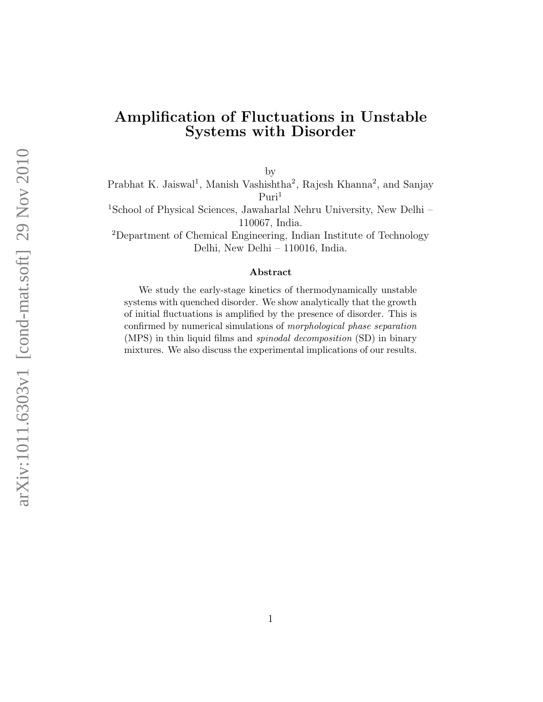## Amplification of Fluctuations in Unstable Systems with Disorder

by

Prabhat K. Jaiswal<sup>1</sup>, Manish Vashishtha<sup>2</sup>, Rajesh Khanna<sup>2</sup>, and Sanjay  $Puri<sup>1</sup>$ 

<sup>1</sup>School of Physical Sciences, Jawaharlal Nehru University, New Delhi – 110067, India.

<sup>2</sup>Department of Chemical Engineering, Indian Institute of Technology Delhi, New Delhi – 110016, India.

#### Abstract

We study the early-stage kinetics of thermodynamically unstable systems with quenched disorder. We show analytically that the growth of initial fluctuations is amplified by the presence of disorder. This is confirmed by numerical simulations of morphological phase separation (MPS) in thin liquid films and spinodal decomposition (SD) in binary mixtures. We also discuss the experimental implications of our results.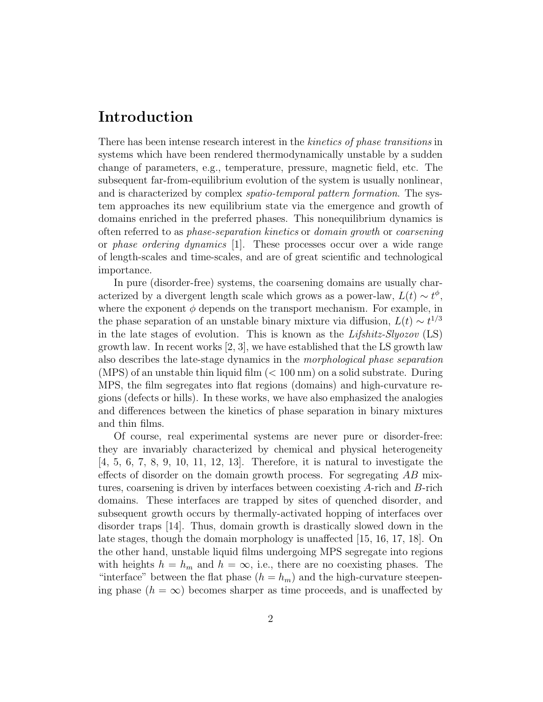## Introduction

There has been intense research interest in the *kinetics of phase transitions* in systems which have been rendered thermodynamically unstable by a sudden change of parameters, e.g., temperature, pressure, magnetic field, etc. The subsequent far-from-equilibrium evolution of the system is usually nonlinear, and is characterized by complex spatio-temporal pattern formation. The system approaches its new equilibrium state via the emergence and growth of domains enriched in the preferred phases. This nonequilibrium dynamics is often referred to as phase-separation kinetics or domain growth or coarsening or phase ordering dynamics [1]. These processes occur over a wide range of length-scales and time-scales, and are of great scientific and technological importance.

In pure (disorder-free) systems, the coarsening domains are usually characterized by a divergent length scale which grows as a power-law,  $L(t) \sim t^{\phi}$ , where the exponent  $\phi$  depends on the transport mechanism. For example, in the phase separation of an unstable binary mixture via diffusion,  $L(t) \sim t^{1/3}$ in the late stages of evolution. This is known as the Lifshitz-Slyozov (LS) growth law. In recent works [2, 3], we have established that the LS growth law also describes the late-stage dynamics in the morphological phase separation (MPS) of an unstable thin liquid film  $(< 100 \text{ nm})$  on a solid substrate. During MPS, the film segregates into flat regions (domains) and high-curvature regions (defects or hills). In these works, we have also emphasized the analogies and differences between the kinetics of phase separation in binary mixtures and thin films.

Of course, real experimental systems are never pure or disorder-free: they are invariably characterized by chemical and physical heterogeneity [4, 5, 6, 7, 8, 9, 10, 11, 12, 13]. Therefore, it is natural to investigate the effects of disorder on the domain growth process. For segregating  $AB$  mixtures, coarsening is driven by interfaces between coexisting A-rich and B-rich domains. These interfaces are trapped by sites of quenched disorder, and subsequent growth occurs by thermally-activated hopping of interfaces over disorder traps [14]. Thus, domain growth is drastically slowed down in the late stages, though the domain morphology is unaffected [15, 16, 17, 18]. On the other hand, unstable liquid films undergoing MPS segregate into regions with heights  $h = h_m$  and  $h = \infty$ , i.e., there are no coexisting phases. The "interface" between the flat phase  $(h = h_m)$  and the high-curvature steepening phase  $(h = \infty)$  becomes sharper as time proceeds, and is unaffected by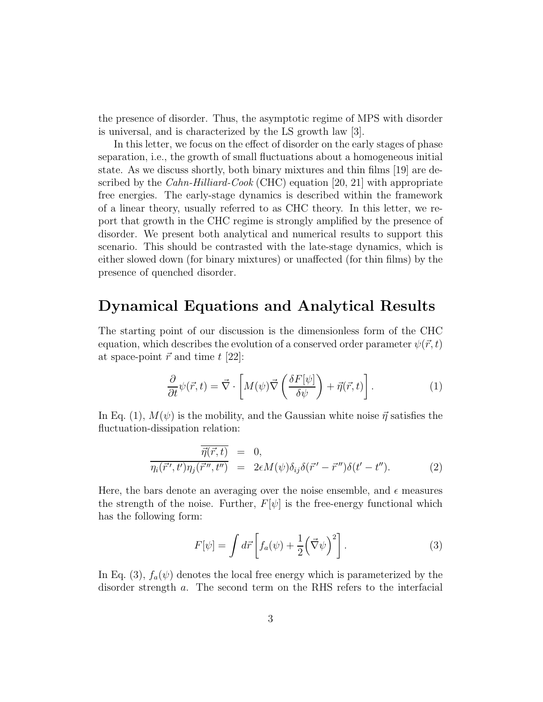the presence of disorder. Thus, the asymptotic regime of MPS with disorder is universal, and is characterized by the LS growth law [3].

In this letter, we focus on the effect of disorder on the early stages of phase separation, i.e., the growth of small fluctuations about a homogeneous initial state. As we discuss shortly, both binary mixtures and thin films [19] are described by the *Cahn-Hilliard-Cook* (CHC) equation [20, 21] with appropriate free energies. The early-stage dynamics is described within the framework of a linear theory, usually referred to as CHC theory. In this letter, we report that growth in the CHC regime is strongly amplified by the presence of disorder. We present both analytical and numerical results to support this scenario. This should be contrasted with the late-stage dynamics, which is either slowed down (for binary mixtures) or unaffected (for thin films) by the presence of quenched disorder.

### Dynamical Equations and Analytical Results

The starting point of our discussion is the dimensionless form of the CHC equation, which describes the evolution of a conserved order parameter  $\psi(\vec{r}, t)$ at space-point  $\vec{r}$  and time t [22]:

$$
\frac{\partial}{\partial t}\psi(\vec{r},t) = \vec{\nabla} \cdot \left[ M(\psi)\vec{\nabla} \left( \frac{\delta F[\psi]}{\delta \psi} \right) + \vec{\eta}(\vec{r},t) \right]. \tag{1}
$$

In Eq. (1),  $M(\psi)$  is the mobility, and the Gaussian white noise  $\vec{\eta}$  satisfies the fluctuation-dissipation relation:

$$
\frac{\vec{\eta}(\vec{r},t)}{\eta_i(\vec{r}',t')\eta_j(\vec{r}'',t'')} = 0, \n\frac{2\epsilon M(\psi)\delta_{ij}\delta(\vec{r}'-\vec{r}'')\delta(t'-t'').
$$
\n(2)

Here, the bars denote an averaging over the noise ensemble, and  $\epsilon$  measures the strength of the noise. Further,  $F[\psi]$  is the free-energy functional which has the following form:

$$
F[\psi] = \int d\vec{r} \left[ f_a(\psi) + \frac{1}{2} (\vec{\nabla}\psi)^2 \right]. \tag{3}
$$

In Eq. (3),  $f_a(\psi)$  denotes the local free energy which is parameterized by the disorder strength a. The second term on the RHS refers to the interfacial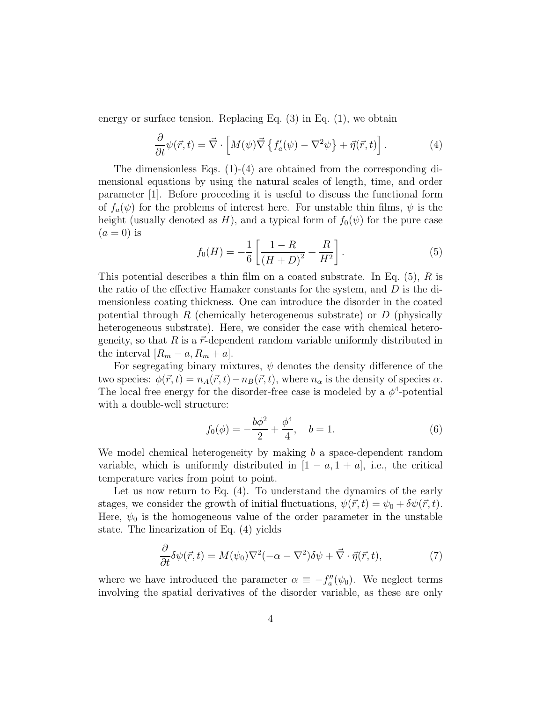energy or surface tension. Replacing Eq. (3) in Eq. (1), we obtain

$$
\frac{\partial}{\partial t}\psi(\vec{r},t) = \vec{\nabla} \cdot \left[ M(\psi)\vec{\nabla} \left\{ f_a'(\psi) - \nabla^2 \psi \right\} + \vec{\eta}(\vec{r},t) \right]. \tag{4}
$$

The dimensionless Eqs. (1)-(4) are obtained from the corresponding dimensional equations by using the natural scales of length, time, and order parameter [1]. Before proceeding it is useful to discuss the functional form of  $f_a(\psi)$  for the problems of interest here. For unstable thin films,  $\psi$  is the height (usually denoted as H), and a typical form of  $f_0(\psi)$  for the pure case  $(a=0)$  is

$$
f_0(H) = -\frac{1}{6} \left[ \frac{1 - R}{\left(H + D\right)^2} + \frac{R}{H^2} \right].
$$
 (5)

This potential describes a thin film on a coated substrate. In Eq.  $(5)$ , R is the ratio of the effective Hamaker constants for the system, and  $D$  is the dimensionless coating thickness. One can introduce the disorder in the coated potential through R (chemically heterogeneous substrate) or  $D$  (physically heterogeneous substrate). Here, we consider the case with chemical heterogeneity, so that  $R$  is a  $\vec{r}$ -dependent random variable uniformly distributed in the interval  $[R_m - a, R_m + a]$ .

For segregating binary mixtures,  $\psi$  denotes the density difference of the two species:  $\phi(\vec{r}, t) = n_A(\vec{r}, t) - n_B(\vec{r}, t)$ , where  $n_\alpha$  is the density of species  $\alpha$ . The local free energy for the disorder-free case is modeled by a  $\phi^4$ -potential with a double-well structure:

$$
f_0(\phi) = -\frac{b\phi^2}{2} + \frac{\phi^4}{4}, \quad b = 1.
$$
 (6)

We model chemical heterogeneity by making  $b$  a space-dependent random variable, which is uniformly distributed in  $|1 - a, 1 + a|$ , i.e., the critical temperature varies from point to point.

Let us now return to Eq. (4). To understand the dynamics of the early stages, we consider the growth of initial fluctuations,  $\psi(\vec{r}, t) = \psi_0 + \delta \psi(\vec{r}, t)$ . Here,  $\psi_0$  is the homogeneous value of the order parameter in the unstable state. The linearization of Eq. (4) yields

$$
\frac{\partial}{\partial t}\delta\psi(\vec{r},t) = M(\psi_0)\nabla^2(-\alpha - \nabla^2)\delta\psi + \vec{\nabla}\cdot\vec{\eta}(\vec{r},t),\tag{7}
$$

where we have introduced the parameter  $\alpha \equiv -f''_a$  $a''_a(\psi_0)$ . We neglect terms involving the spatial derivatives of the disorder variable, as these are only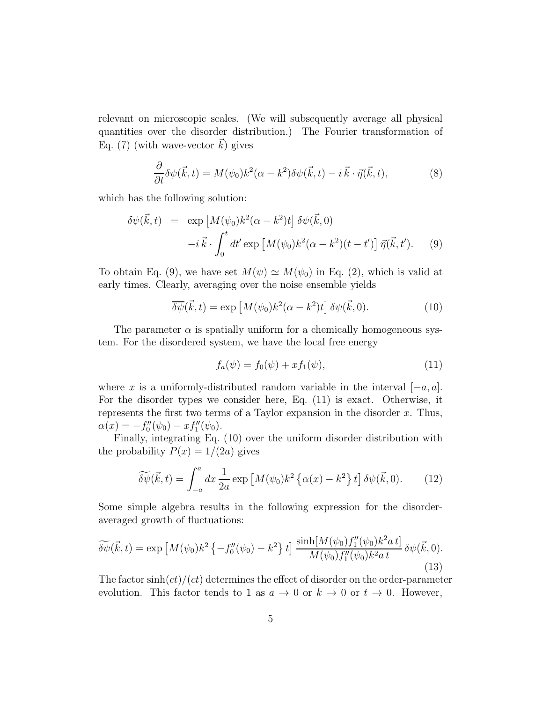relevant on microscopic scales. (We will subsequently average all physical quantities over the disorder distribution.) The Fourier transformation of Eq. (7) (with wave-vector  $k$ ) gives

$$
\frac{\partial}{\partial t}\delta\psi(\vec{k},t) = M(\psi_0)k^2(\alpha - k^2)\delta\psi(\vec{k},t) - i\,\vec{k}\cdot\vec{\eta}(\vec{k},t),\tag{8}
$$

which has the following solution:

$$
\delta\psi(\vec{k},t) = \exp\left[M(\psi_0)k^2(\alpha - k^2)t\right]\delta\psi(\vec{k},0)
$$

$$
-i\,\vec{k}\cdot\int_0^t dt'\exp\left[M(\psi_0)k^2(\alpha - k^2)(t - t')\right]\vec{\eta}(\vec{k},t'). \tag{9}
$$

To obtain Eq. (9), we have set  $M(\psi) \simeq M(\psi_0)$  in Eq. (2), which is valid at early times. Clearly, averaging over the noise ensemble yields

$$
\overline{\delta\psi}(\vec{k},t) = \exp\left[M(\psi_0)k^2(\alpha - k^2)t\right]\delta\psi(\vec{k},0). \tag{10}
$$

The parameter  $\alpha$  is spatially uniform for a chemically homogeneous system. For the disordered system, we have the local free energy

$$
f_a(\psi) = f_0(\psi) + x f_1(\psi), \tag{11}
$$

where x is a uniformly-distributed random variable in the interval  $[-a, a]$ . For the disorder types we consider here, Eq. (11) is exact. Otherwise, it represents the first two terms of a Taylor expansion in the disorder  $x$ . Thus,  $\alpha(x) = -f_0''$  $x''_0(\psi_0) - x f''_1(\psi_0).$ 

Finally, integrating Eq. (10) over the uniform disorder distribution with the probability  $P(x) = 1/(2a)$  gives

$$
\widetilde{\delta\psi}(\vec{k},t) = \int_{-a}^{a} dx \, \frac{1}{2a} \exp\left[M(\psi_0)k^2 \left\{\alpha(x) - k^2\right\} t\right] \delta\psi(\vec{k},0). \tag{12}
$$

Some simple algebra results in the following expression for the disorderaveraged growth of fluctuations:

$$
\widetilde{\delta\psi}(\vec{k},t) = \exp\left[M(\psi_0)k^2\left\{-f_0''(\psi_0) - k^2\right\}t\right] \frac{\sinh[M(\psi_0)f_1''(\psi_0)k^2at]}{M(\psi_0)f_1''(\psi_0)k^2at} \delta\psi(\vec{k},0). \tag{13}
$$

The factor  $\sinh(ct)/(ct)$  determines the effect of disorder on the order-parameter evolution. This factor tends to 1 as  $a \to 0$  or  $k \to 0$  or  $t \to 0$ . However,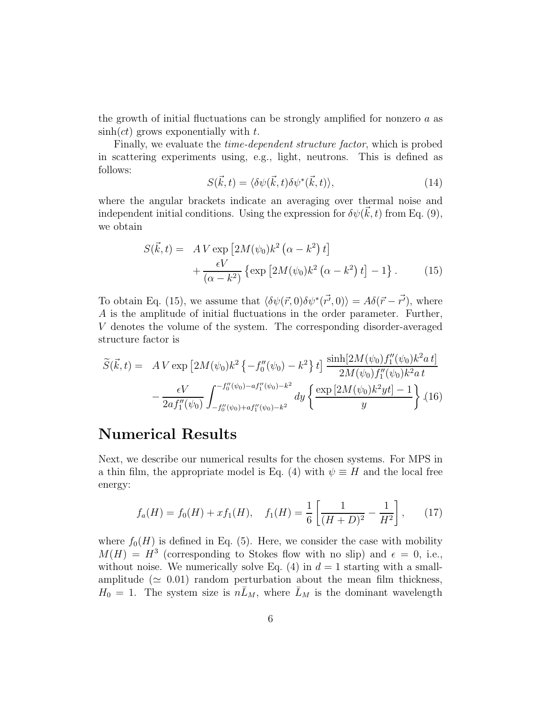the growth of initial fluctuations can be strongly amplified for nonzero  $a$  as  $\sinh(ct)$  grows exponentially with t.

Finally, we evaluate the time-dependent structure factor, which is probed in scattering experiments using, e.g., light, neutrons. This is defined as follows:

$$
S(\vec{k},t) = \langle \delta\psi(\vec{k},t)\delta\psi^*(\vec{k},t) \rangle, \tag{14}
$$

where the angular brackets indicate an averaging over thermal noise and independent initial conditions. Using the expression for  $\delta \psi(\vec{k}, t)$  from Eq. (9), we obtain

$$
S(\vec{k},t) = A V \exp\left[2M(\psi_0)k^2 (\alpha - k^2) t\right] + \frac{\epsilon V}{(\alpha - k^2)} \left\{\exp\left[2M(\psi_0)k^2 (\alpha - k^2) t\right] - 1\right\}.
$$
 (15)

To obtain Eq. (15), we assume that  $\langle \delta \psi(\vec{r}, 0) \delta \psi^*(\vec{r'}, 0) \rangle = A \delta(\vec{r} - \vec{r'})$ , where A is the amplitude of initial fluctuations in the order parameter. Further, V denotes the volume of the system. The corresponding disorder-averaged structure factor is

$$
\widetilde{S}(\vec{k},t) = A V \exp \left[ 2M(\psi_0)k^2 \left\{ -f_0''(\psi_0) - k^2 \right\} t \right] \frac{\sinh[2M(\psi_0)f_1''(\psi_0)k^2 a t]}{2M(\psi_0)f_1''(\psi_0)k^2 a t} - \frac{\epsilon V}{2a f_1''(\psi_0)} \int_{-f_0''(\psi_0) + a f_1''(\psi_0) - k^2}^{-f_0''(\psi_0) - a f_1''(\psi_0) - k^2} dy \left\{ \frac{\exp \left[ 2M(\psi_0)k^2 y t \right] - 1}{y} \right\} .(16)
$$

# Numerical Results

Next, we describe our numerical results for the chosen systems. For MPS in a thin film, the appropriate model is Eq. (4) with  $\psi \equiv H$  and the local free energy:

$$
f_a(H) = f_0(H) + xf_1(H), \quad f_1(H) = \frac{1}{6} \left[ \frac{1}{(H+D)^2} - \frac{1}{H^2} \right], \quad (17)
$$

where  $f_0(H)$  is defined in Eq. (5). Here, we consider the case with mobility  $M(H) = H<sup>3</sup>$  (corresponding to Stokes flow with no slip) and  $\epsilon = 0$ , i.e., without noise. We numerically solve Eq.  $(4)$  in  $d = 1$  starting with a smallamplitude ( $\simeq$  0.01) random perturbation about the mean film thickness,  $H_0 = 1$ . The system size is  $n\bar{L}_M$ , where  $\bar{L}_M$  is the dominant wavelength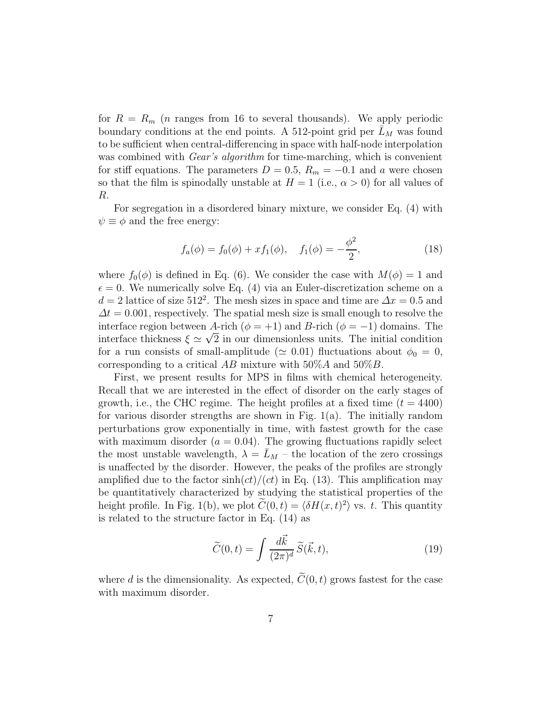for  $R = R_m$  (*n* ranges from 16 to several thousands). We apply periodic boundary conditions at the end points. A 512-point grid per  $\bar{L}_M$  was found to be sufficient when central-differencing in space with half-node interpolation was combined with *Gear's algorithm* for time-marching, which is convenient for stiff equations. The parameters  $D = 0.5$ ,  $R_m = -0.1$  and a were chosen so that the film is spinodally unstable at  $H = 1$  (i.e.,  $\alpha > 0$ ) for all values of R.

For segregation in a disordered binary mixture, we consider Eq. (4) with  $\psi \equiv \phi$  and the free energy:

$$
f_a(\phi) = f_0(\phi) + x f_1(\phi), \quad f_1(\phi) = -\frac{\phi^2}{2}, \tag{18}
$$

where  $f_0(\phi)$  is defined in Eq. (6). We consider the case with  $M(\phi) = 1$  and  $\epsilon = 0$ . We numerically solve Eq. (4) via an Euler-discretization scheme on a  $d = 2$  lattice of size 512<sup>2</sup>. The mesh sizes in space and time are  $\Delta x = 0.5$  and  $\Delta t = 0.001$ , respectively. The spatial mesh size is small enough to resolve the interface region between A-rich ( $\phi = +1$ ) and B-rich ( $\phi = -1$ ) domains. The interface thickness  $\xi \simeq \sqrt{2}$  in our dimensionless units. The initial condition for a run consists of small-amplitude ( $\simeq 0.01$ ) fluctuations about  $\phi_0 = 0$ , corresponding to a critical  $AB$  mixture with  $50\%A$  and  $50\%B$ .

First, we present results for MPS in films with chemical heterogeneity. Recall that we are interested in the effect of disorder on the early stages of growth, i.e., the CHC regime. The height profiles at a fixed time  $(t = 4400)$ for various disorder strengths are shown in Fig.  $1(a)$ . The initially random perturbations grow exponentially in time, with fastest growth for the case with maximum disorder  $(a = 0.04)$ . The growing fluctuations rapidly select the most unstable wavelength,  $\lambda = L_M$  – the location of the zero crossings is unaffected by the disorder. However, the peaks of the profiles are strongly amplified due to the factor  $sinh(ct)/(ct)$  in Eq. (13). This amplification may be quantitatively characterized by studying the statistical properties of the height profile. In Fig. 1(b), we plot  $C(0, t) = \langle \delta H(x, t)^2 \rangle$  vs. t. This quantity is related to the structure factor in Eq. (14) as

$$
\widetilde{C}(0,t) = \int \frac{d\vec{k}}{(2\pi)^d} \widetilde{S}(\vec{k},t),\tag{19}
$$

where d is the dimensionality. As expected,  $\widetilde{C}(0, t)$  grows fastest for the case with maximum disorder.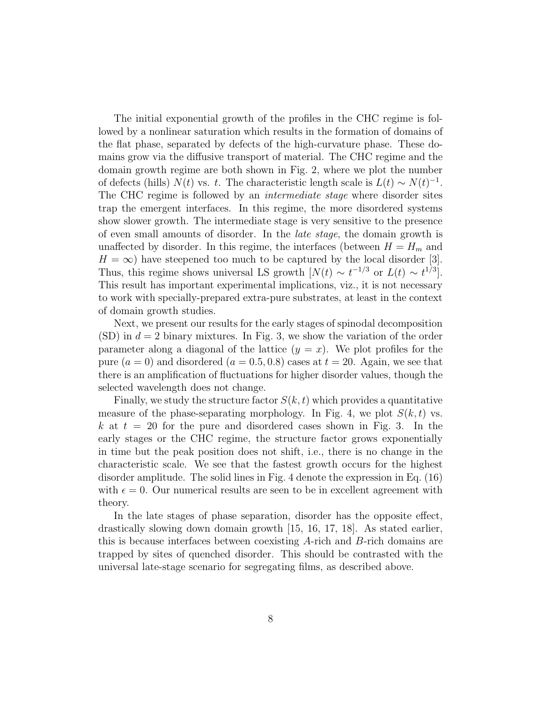The initial exponential growth of the profiles in the CHC regime is followed by a nonlinear saturation which results in the formation of domains of the flat phase, separated by defects of the high-curvature phase. These domains grow via the diffusive transport of material. The CHC regime and the domain growth regime are both shown in Fig. 2, where we plot the number of defects (hills)  $N(t)$  vs. t. The characteristic length scale is  $L(t) \sim N(t)^{-1}$ . The CHC regime is followed by an intermediate stage where disorder sites trap the emergent interfaces. In this regime, the more disordered systems show slower growth. The intermediate stage is very sensitive to the presence of even small amounts of disorder. In the late stage, the domain growth is unaffected by disorder. In this regime, the interfaces (between  $H = H_m$  and  $H = \infty$ ) have steepened too much to be captured by the local disorder [3]. Thus, this regime shows universal LS growth  $[N(t) \sim t^{-1/3}]$  or  $L(t) \sim t^{1/3}]$ . This result has important experimental implications, viz., it is not necessary to work with specially-prepared extra-pure substrates, at least in the context of domain growth studies.

Next, we present our results for the early stages of spinodal decomposition  $(SD)$  in  $d = 2$  binary mixtures. In Fig. 3, we show the variation of the order parameter along a diagonal of the lattice  $(y = x)$ . We plot profiles for the pure  $(a = 0)$  and disordered  $(a = 0.5, 0.8)$  cases at  $t = 20$ . Again, we see that there is an amplification of fluctuations for higher disorder values, though the selected wavelength does not change.

Finally, we study the structure factor  $S(k, t)$  which provides a quantitative measure of the phase-separating morphology. In Fig. 4, we plot  $S(k, t)$  vs. k at  $t = 20$  for the pure and disordered cases shown in Fig. 3. In the early stages or the CHC regime, the structure factor grows exponentially in time but the peak position does not shift, i.e., there is no change in the characteristic scale. We see that the fastest growth occurs for the highest disorder amplitude. The solid lines in Fig. 4 denote the expression in Eq. (16) with  $\epsilon = 0$ . Our numerical results are seen to be in excellent agreement with theory.

In the late stages of phase separation, disorder has the opposite effect, drastically slowing down domain growth [15, 16, 17, 18]. As stated earlier, this is because interfaces between coexisting A-rich and B-rich domains are trapped by sites of quenched disorder. This should be contrasted with the universal late-stage scenario for segregating films, as described above.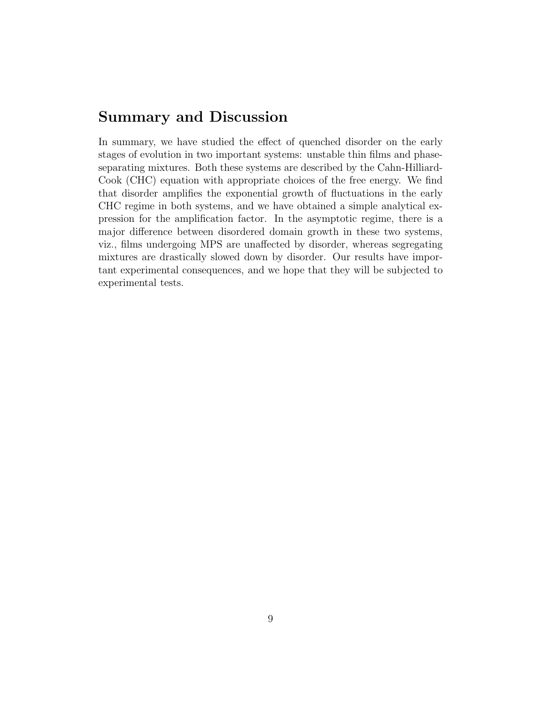### Summary and Discussion

In summary, we have studied the effect of quenched disorder on the early stages of evolution in two important systems: unstable thin films and phaseseparating mixtures. Both these systems are described by the Cahn-Hilliard-Cook (CHC) equation with appropriate choices of the free energy. We find that disorder amplifies the exponential growth of fluctuations in the early CHC regime in both systems, and we have obtained a simple analytical expression for the amplification factor. In the asymptotic regime, there is a major difference between disordered domain growth in these two systems, viz., films undergoing MPS are unaffected by disorder, whereas segregating mixtures are drastically slowed down by disorder. Our results have important experimental consequences, and we hope that they will be subjected to experimental tests.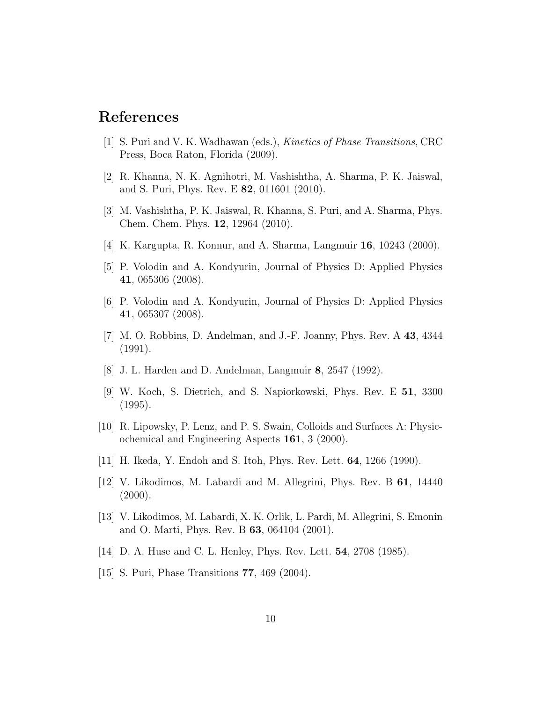### References

- [1] S. Puri and V. K. Wadhawan (eds.), Kinetics of Phase Transitions, CRC Press, Boca Raton, Florida (2009).
- [2] R. Khanna, N. K. Agnihotri, M. Vashishtha, A. Sharma, P. K. Jaiswal, and S. Puri, Phys. Rev. E 82, 011601 (2010).
- [3] M. Vashishtha, P. K. Jaiswal, R. Khanna, S. Puri, and A. Sharma, Phys. Chem. Chem. Phys. 12, 12964 (2010).
- [4] K. Kargupta, R. Konnur, and A. Sharma, Langmuir 16, 10243 (2000).
- [5] P. Volodin and A. Kondyurin, Journal of Physics D: Applied Physics 41, 065306 (2008).
- [6] P. Volodin and A. Kondyurin, Journal of Physics D: Applied Physics 41, 065307 (2008).
- [7] M. O. Robbins, D. Andelman, and J.-F. Joanny, Phys. Rev. A 43, 4344 (1991).
- [8] J. L. Harden and D. Andelman, Langmuir 8, 2547 (1992).
- [9] W. Koch, S. Dietrich, and S. Napiorkowski, Phys. Rev. E 51, 3300 (1995).
- [10] R. Lipowsky, P. Lenz, and P. S. Swain, Colloids and Surfaces A: Physicochemical and Engineering Aspects 161, 3 (2000).
- [11] H. Ikeda, Y. Endoh and S. Itoh, Phys. Rev. Lett. 64, 1266 (1990).
- [12] V. Likodimos, M. Labardi and M. Allegrini, Phys. Rev. B 61, 14440  $(2000).$
- [13] V. Likodimos, M. Labardi, X. K. Orlik, L. Pardi, M. Allegrini, S. Emonin and O. Marti, Phys. Rev. B 63, 064104 (2001).
- [14] D. A. Huse and C. L. Henley, Phys. Rev. Lett. **54**, 2708 (1985).
- [15] S. Puri, Phase Transitions 77, 469 (2004).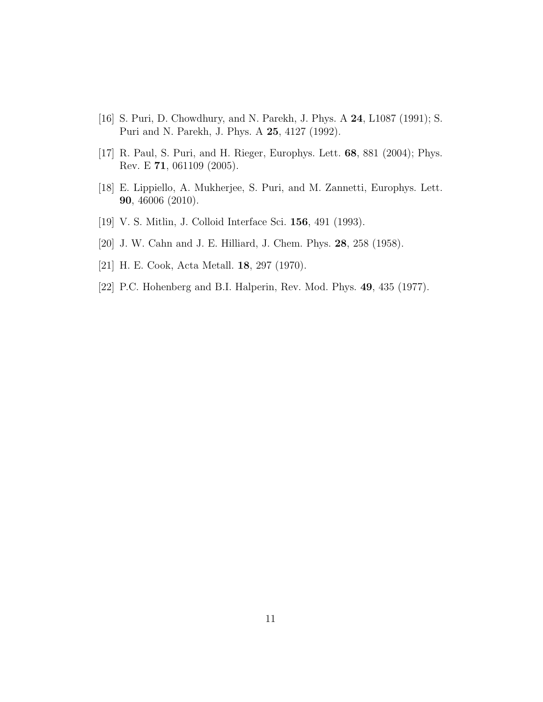- [16] S. Puri, D. Chowdhury, and N. Parekh, J. Phys. A 24, L1087 (1991); S. Puri and N. Parekh, J. Phys. A 25, 4127 (1992).
- [17] R. Paul, S. Puri, and H. Rieger, Europhys. Lett. 68, 881 (2004); Phys. Rev. E 71, 061109 (2005).
- [18] E. Lippiello, A. Mukherjee, S. Puri, and M. Zannetti, Europhys. Lett. 90, 46006 (2010).
- [19] V. S. Mitlin, J. Colloid Interface Sci. 156, 491 (1993).
- [20] J. W. Cahn and J. E. Hilliard, J. Chem. Phys. 28, 258 (1958).
- [21] H. E. Cook, Acta Metall. 18, 297 (1970).
- [22] P.C. Hohenberg and B.I. Halperin, Rev. Mod. Phys. 49, 435 (1977).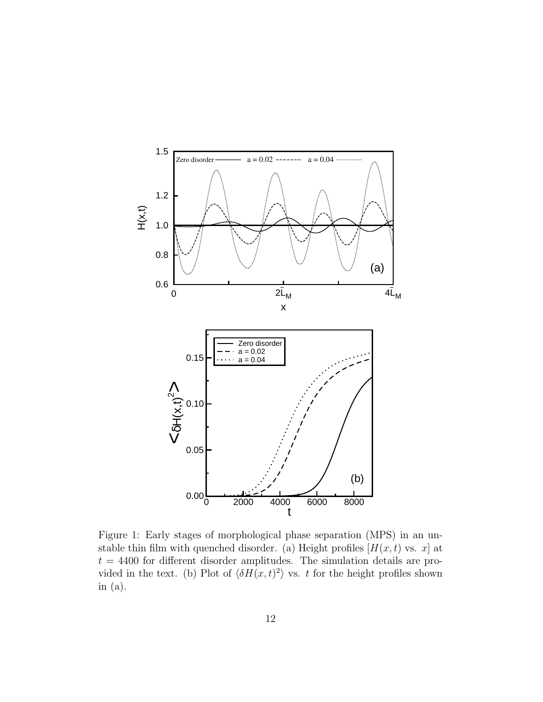

Figure 1: Early stages of morphological phase separation (MPS) in an unstable thin film with quenched disorder. (a) Height profiles  $[H(x, t) \text{ vs. } x]$  at  $t = 4400$  for different disorder amplitudes. The simulation details are provided in the text. (b) Plot of  $\langle \delta H(x, t)^2 \rangle$  vs. t for the height profiles shown in (a).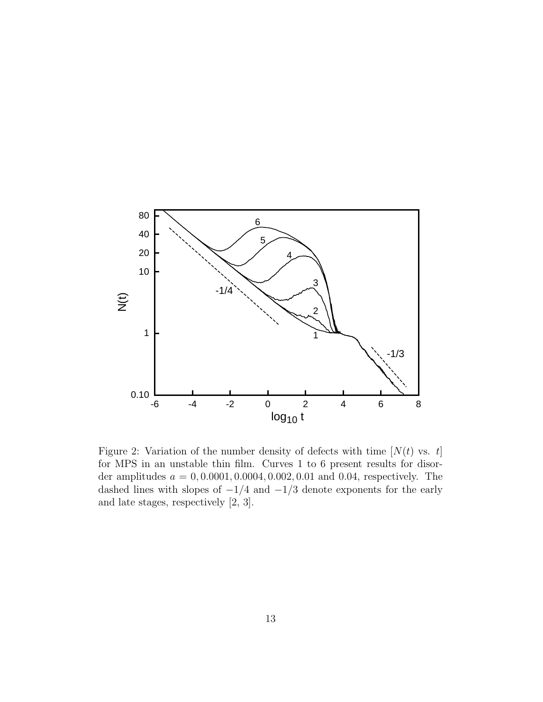

Figure 2: Variation of the number density of defects with time  $[N(t)$  vs. t] for MPS in an unstable thin film. Curves 1 to 6 present results for disorder amplitudes  $a = 0, 0.0001, 0.0004, 0.002, 0.01$  and 0.04, respectively. The dashed lines with slopes of  $-1/4$  and  $-1/3$  denote exponents for the early and late stages, respectively [2, 3].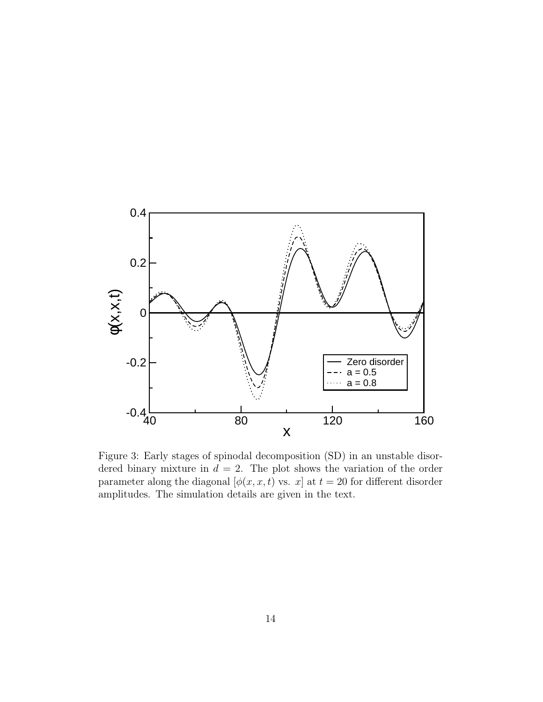

Figure 3: Early stages of spinodal decomposition (SD) in an unstable disordered binary mixture in  $d = 2$ . The plot shows the variation of the order parameter along the diagonal  $[\phi(x, x, t)]$  vs.  $x]$  at  $t = 20$  for different disorder amplitudes. The simulation details are given in the text.